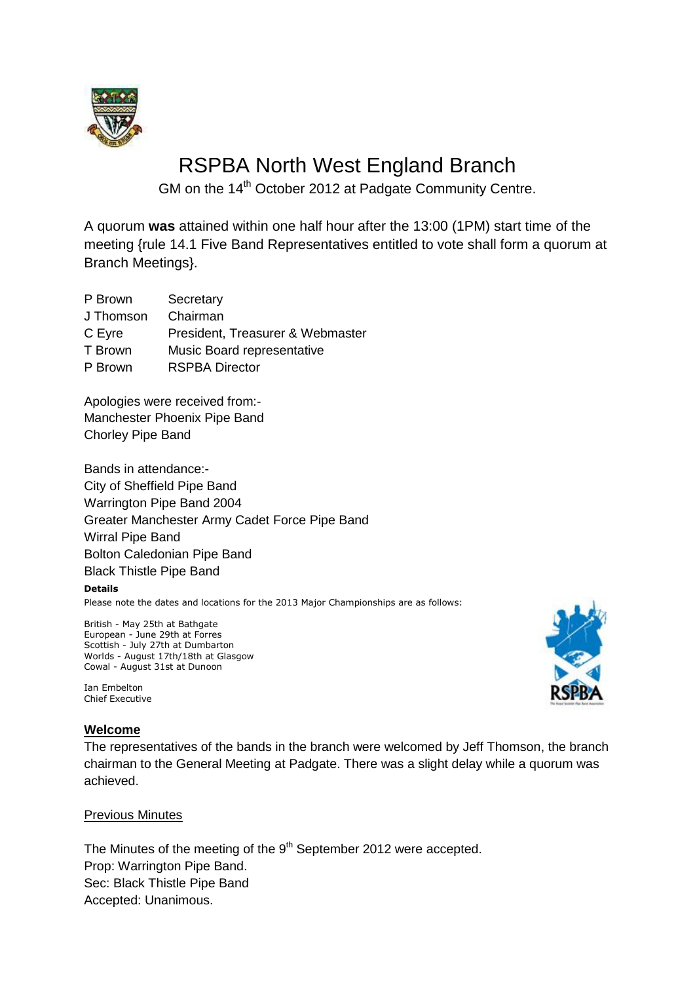

# RSPBA North West England Branch

GM on the 14<sup>th</sup> October 2012 at Padgate Community Centre.

A quorum **was** attained within one half hour after the 13:00 (1PM) start time of the meeting {rule 14.1 Five Band Representatives entitled to vote shall form a quorum at Branch Meetings}.

| P Brown   | Secretary                        |
|-----------|----------------------------------|
| J Thomson | Chairman                         |
| C Eyre    | President, Treasurer & Webmaster |
| T Brown   | Music Board representative       |
| P Brown   | <b>RSPBA Director</b>            |
|           |                                  |

Apologies were received from:- Manchester Phoenix Pipe Band Chorley Pipe Band

Bands in attendance:- City of Sheffield Pipe Band Warrington Pipe Band 2004 Greater Manchester Army Cadet Force Pipe Band Wirral Pipe Band Bolton Caledonian Pipe Band Black Thistle Pipe Band

#### **Details**

Please note the dates and locations for the 2013 Major Championships are as follows:

British - May 25th at Bathgate European - June 29th at Forres Scottish - July 27th at Dumbarton Worlds - August 17th/18th at Glasgow Cowal - August 31st at Dunoon

Ian Embelton Chief Executive

### **Welcome**

The representatives of the bands in the branch were welcomed by Jeff Thomson, the branch chairman to the General Meeting at Padgate. There was a slight delay while a quorum was achieved.

#### Previous Minutes

The Minutes of the meeting of the  $9<sup>th</sup>$  September 2012 were accepted. Prop: Warrington Pipe Band. Sec: Black Thistle Pipe Band Accepted: Unanimous.

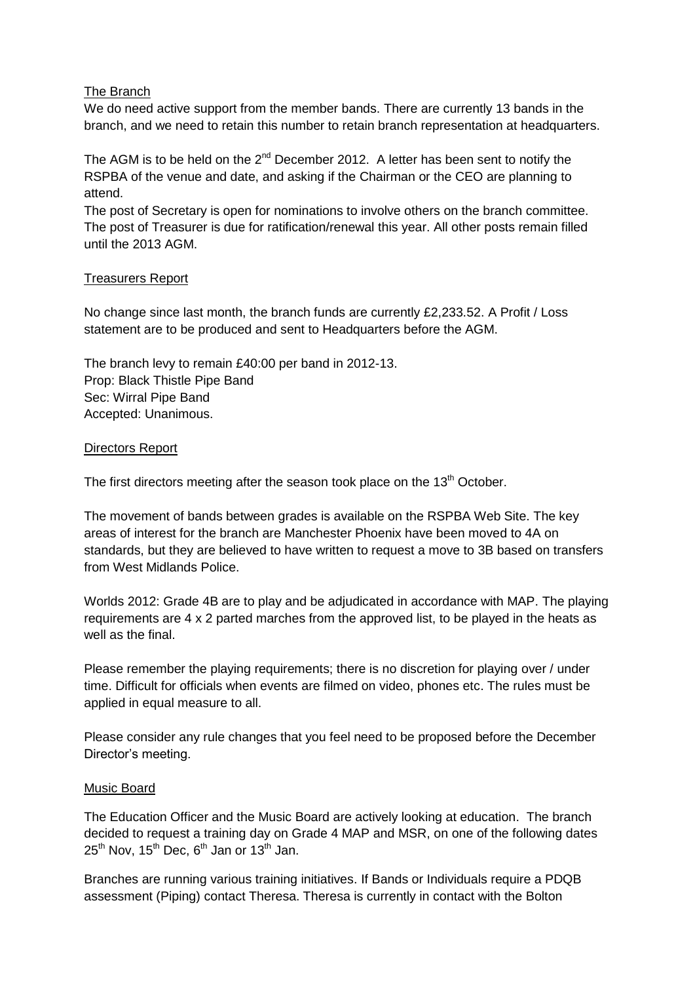### The Branch

We do need active support from the member bands. There are currently 13 bands in the branch, and we need to retain this number to retain branch representation at headquarters.

The AGM is to be held on the  $2^{nd}$  December 2012. A letter has been sent to notify the RSPBA of the venue and date, and asking if the Chairman or the CEO are planning to attend.

The post of Secretary is open for nominations to involve others on the branch committee. The post of Treasurer is due for ratification/renewal this year. All other posts remain filled until the 2013 AGM.

### Treasurers Report

No change since last month, the branch funds are currently £2,233.52. A Profit / Loss statement are to be produced and sent to Headquarters before the AGM.

The branch levy to remain £40:00 per band in 2012-13. Prop: Black Thistle Pipe Band Sec: Wirral Pipe Band Accepted: Unanimous.

#### Directors Report

The first directors meeting after the season took place on the 13<sup>th</sup> October.

The movement of bands between grades is available on the RSPBA Web Site. The key areas of interest for the branch are Manchester Phoenix have been moved to 4A on standards, but they are believed to have written to request a move to 3B based on transfers from West Midlands Police.

Worlds 2012: Grade 4B are to play and be adjudicated in accordance with MAP. The playing requirements are 4 x 2 parted marches from the approved list, to be played in the heats as well as the final.

Please remember the playing requirements; there is no discretion for playing over / under time. Difficult for officials when events are filmed on video, phones etc. The rules must be applied in equal measure to all.

Please consider any rule changes that you feel need to be proposed before the December Director's meeting.

### Music Board

The Education Officer and the Music Board are actively looking at education. The branch decided to request a training day on Grade 4 MAP and MSR, on one of the following dates  $25<sup>th</sup>$  Nov, 15<sup>th</sup> Dec, 6<sup>th</sup> Jan or 13<sup>th</sup> Jan.

Branches are running various training initiatives. If Bands or Individuals require a PDQB assessment (Piping) contact Theresa. Theresa is currently in contact with the Bolton